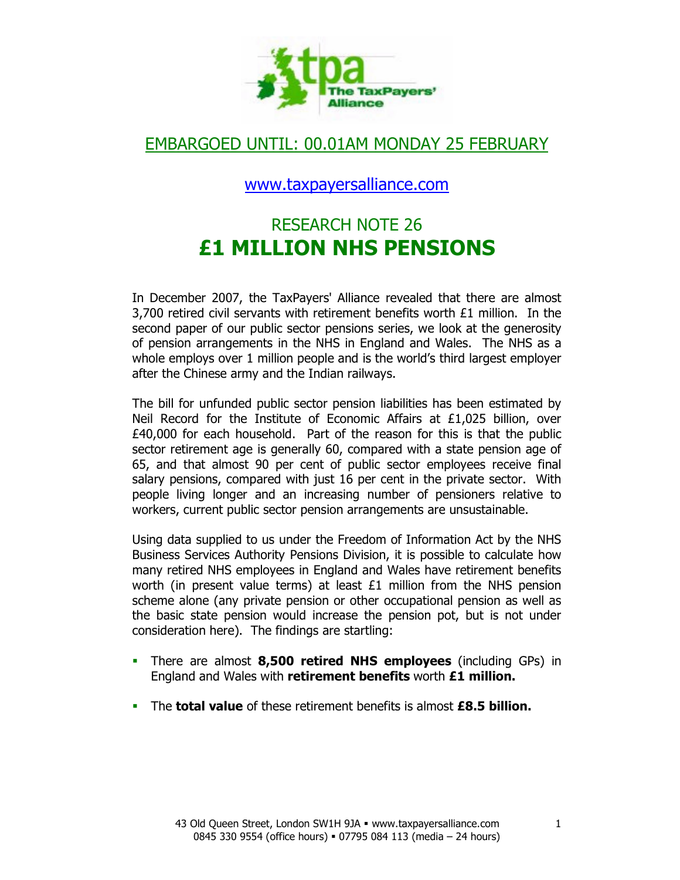

# EMBARGOED UNTIL: 00.01AM MONDAY 25 FEBRUARY

### www.taxpayersalliance.com

# RESEARCH NOTE 26 £1 MILLION NHS PENSIONS

In December 2007, the TaxPayers' Alliance revealed that there are almost 3,700 retired civil servants with retirement benefits worth £1 million. In the second paper of our public sector pensions series, we look at the generosity of pension arrangements in the NHS in England and Wales. The NHS as a whole employs over 1 million people and is the world's third largest employer after the Chinese army and the Indian railways.

The bill for unfunded public sector pension liabilities has been estimated by Neil Record for the Institute of Economic Affairs at £1,025 billion, over £40,000 for each household. Part of the reason for this is that the public sector retirement age is generally 60, compared with a state pension age of 65, and that almost 90 per cent of public sector employees receive final salary pensions, compared with just 16 per cent in the private sector. With people living longer and an increasing number of pensioners relative to workers, current public sector pension arrangements are unsustainable.

Using data supplied to us under the Freedom of Information Act by the NHS Business Services Authority Pensions Division, it is possible to calculate how many retired NHS employees in England and Wales have retirement benefits worth (in present value terms) at least £1 million from the NHS pension scheme alone (any private pension or other occupational pension as well as the basic state pension would increase the pension pot, but is not under consideration here). The findings are startling:

- There are almost 8,500 retired NHS employees (including GPs) in England and Wales with retirement benefits worth £1 million.
- The **total value** of these retirement benefits is almost **£8.5 billion.**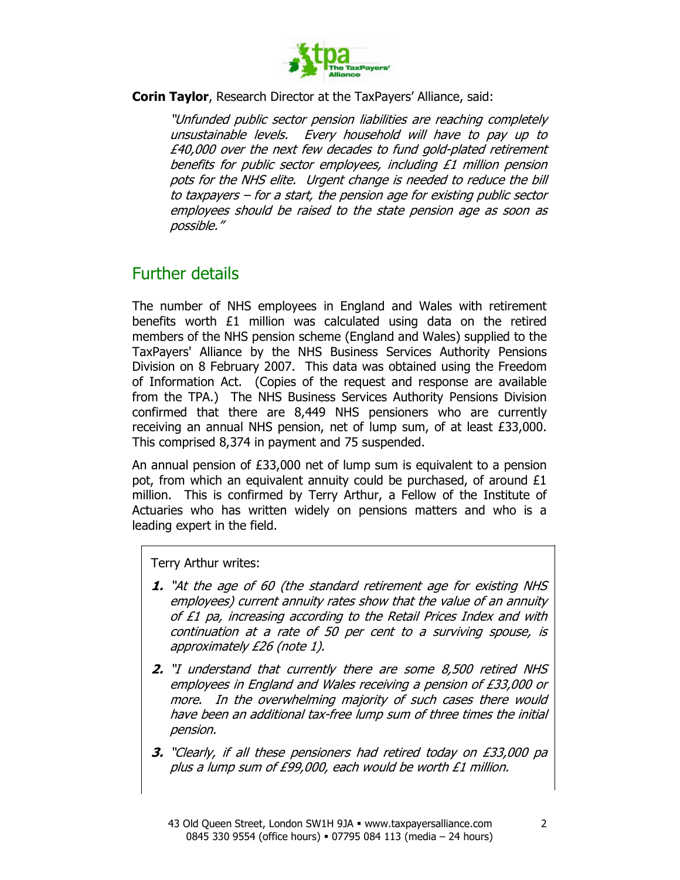

Corin Taylor, Research Director at the TaxPayers' Alliance, said:

"Unfunded public sector pension liabilities are reaching completely unsustainable levels. Every household will have to pay up to £40,000 over the next few decades to fund gold-plated retirement benefits for public sector employees, including £1 million pension pots for the NHS elite. Urgent change is needed to reduce the bill to taxpayers – for a start, the pension age for existing public sector employees should be raised to the state pension age as soon as possible."

### Further details

The number of NHS employees in England and Wales with retirement benefits worth £1 million was calculated using data on the retired members of the NHS pension scheme (England and Wales) supplied to the TaxPayers' Alliance by the NHS Business Services Authority Pensions Division on 8 February 2007. This data was obtained using the Freedom of Information Act. (Copies of the request and response are available from the TPA.) The NHS Business Services Authority Pensions Division confirmed that there are 8,449 NHS pensioners who are currently receiving an annual NHS pension, net of lump sum, of at least £33,000. This comprised 8,374 in payment and 75 suspended.

An annual pension of £33,000 net of lump sum is equivalent to a pension pot, from which an equivalent annuity could be purchased, of around £1 million. This is confirmed by Terry Arthur, a Fellow of the Institute of Actuaries who has written widely on pensions matters and who is a leading expert in the field.

Terry Arthur writes:

- 1. "At the age of 60 (the standard retirement age for existing NHS employees) current annuity rates show that the value of an annuity of £1 pa, increasing according to the Retail Prices Index and with continuation at a rate of 50 per cent to a surviving spouse, is approximately £26 (note 1).
- 2. "I understand that currently there are some 8,500 retired NHS employees in England and Wales receiving a pension of £33,000 or more. In the overwhelming majority of such cases there would have been an additional tax-free lump sum of three times the initial pension.
- 3. "Clearly, if all these pensioners had retired today on £33,000 pa plus a lump sum of £99,000, each would be worth £1 million.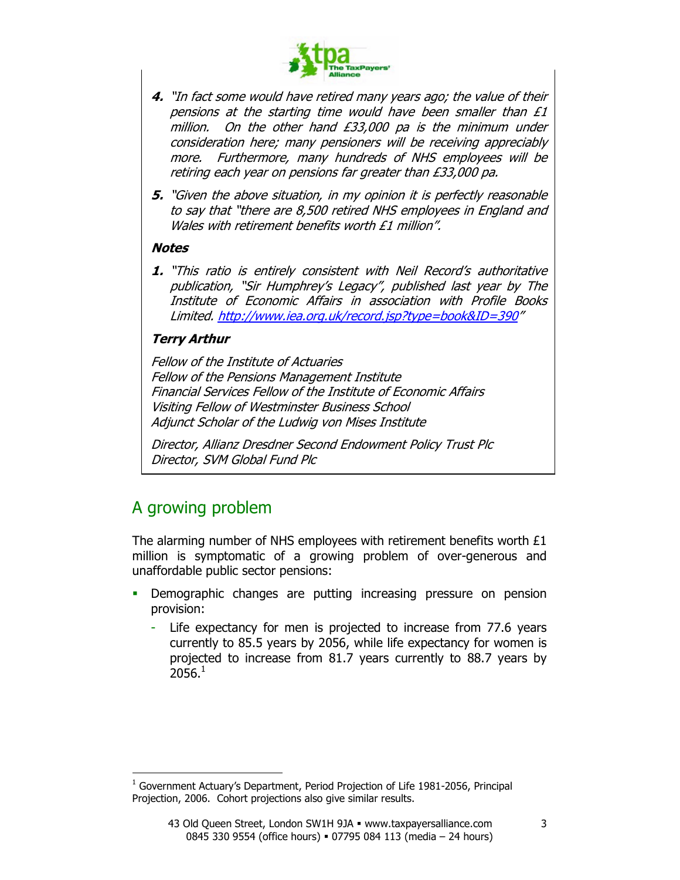

- 4. "In fact some would have retired many years ago; the value of their pensions at the starting time would have been smaller than £1 million. On the other hand £33,000 pa is the minimum under consideration here; many pensioners will be receiving appreciably more. Furthermore, many hundreds of NHS employees will be retiring each year on pensions far greater than £33,000 pa.
- 5. "Given the above situation, in my opinion it is perfectly reasonable to say that "there are 8,500 retired NHS employees in England and Wales with retirement benefits worth £1 million".

#### **Notes**

1. "This ratio is entirely consistent with Neil Record's authoritative publication, "Sir Humphrey's Legacy", published last year by The Institute of Economic Affairs in association with Profile Books Limited. http://www.iea.org.uk/record.jsp?type=book&ID=390"

### Terry Arthur

Fellow of the Institute of Actuaries Fellow of the Pensions Management Institute Financial Services Fellow of the Institute of Economic Affairs Visiting Fellow of Westminster Business School Adjunct Scholar of the Ludwig von Mises Institute

Director, Allianz Dresdner Second Endowment Policy Trust Plc Director, SVM Global Fund Plc

# A growing problem

 $\overline{a}$ 

The alarming number of NHS employees with retirement benefits worth £1 million is symptomatic of a growing problem of over-generous and unaffordable public sector pensions:

- Demographic changes are putting increasing pressure on pension provision:
	- Life expectancy for men is projected to increase from 77.6 years currently to 85.5 years by 2056, while life expectancy for women is projected to increase from 81.7 years currently to 88.7 years by  $2056.<sup>1</sup>$

<sup>1</sup> Government Actuary's Department, Period Projection of Life 1981-2056, Principal Projection, 2006. Cohort projections also give similar results.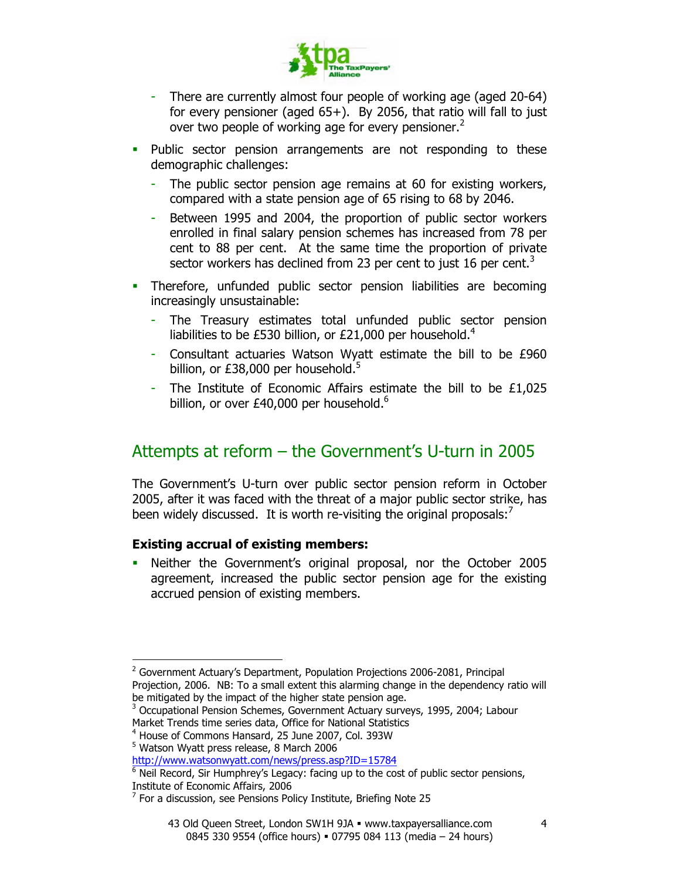

- There are currently almost four people of working age (aged 20-64) for every pensioner (aged 65+). By 2056, that ratio will fall to just over two people of working age for every pensioner.<sup>2</sup>
- **Public sector pension arrangements are not responding to these** demographic challenges:
	- The public sector pension age remains at 60 for existing workers, compared with a state pension age of 65 rising to 68 by 2046.
	- Between 1995 and 2004, the proportion of public sector workers enrolled in final salary pension schemes has increased from 78 per cent to 88 per cent. At the same time the proportion of private sector workers has declined from 23 per cent to just 16 per cent.<sup>3</sup>
- Therefore, unfunded public sector pension liabilities are becoming increasingly unsustainable:
	- The Treasury estimates total unfunded public sector pension liabilities to be £530 billion, or £21,000 per household.<sup>4</sup>
	- Consultant actuaries Watson Wyatt estimate the bill to be £960 billion, or £38,000 per household. $5$
	- The Institute of Economic Affairs estimate the bill to be £1,025 billion, or over £40,000 per household. $6$

# Attempts at reform – the Government's U-turn in 2005

The Government's U-turn over public sector pension reform in October 2005, after it was faced with the threat of a major public sector strike, has been widely discussed. It is worth re-visiting the original proposals: $<sup>7</sup>$ </sup>

### Existing accrual of existing members:

 Neither the Government's original proposal, nor the October 2005 agreement, increased the public sector pension age for the existing accrued pension of existing members.

 $\overline{a}$ 

<sup>&</sup>lt;sup>2</sup> Government Actuary's Department, Population Projections 2006-2081, Principal Projection, 2006. NB: To a small extent this alarming change in the dependency ratio will be mitigated by the impact of the higher state pension age.

<sup>&</sup>lt;sup>3</sup> Occupational Pension Schemes, Government Actuary surveys, 1995, 2004; Labour Market Trends time series data, Office for National Statistics

<sup>4</sup> House of Commons Hansard, 25 June 2007, Col. 393W

<sup>5</sup> Watson Wyatt press release, 8 March 2006

http://www.watsonwyatt.com/news/press.asp?ID=15784

 $<sup>6</sup>$  Neil Record, Sir Humphrey's Legacy: facing up to the cost of public sector pensions,</sup> Institute of Economic Affairs, 2006

 $7$  For a discussion, see Pensions Policy Institute, Briefing Note 25

<sup>43</sup> Old Queen Street, London SW1H 9JA · www.taxpayersalliance.com 0845 330 9554 (office hours) = 07795 084 113 (media - 24 hours)